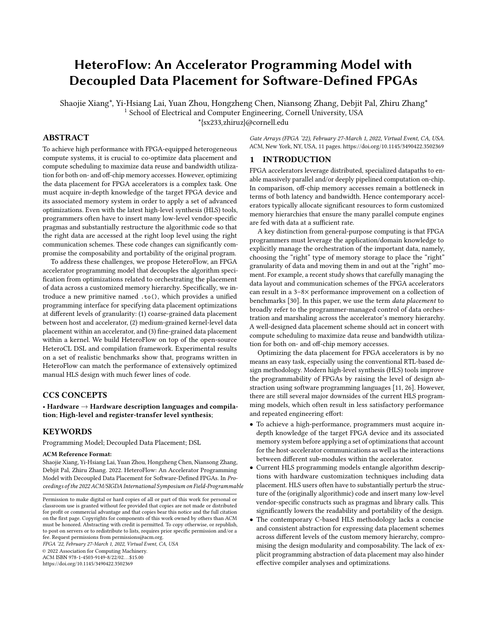# HeteroFlow: An Accelerator Programming Model with Decoupled Data Placement for Software-Defined FPGAs

Shaojie Xiang\*, Yi-Hsiang Lai, Yuan Zhou, Hongzheng Chen, Niansong Zhang, Debjit Pal, Zhiru Zhang\* <sup>1</sup> School of Electrical and Computer Engineering, Cornell University, USA \*{sx233,zhiruz}@cornell.edu

## ABSTRACT

To achieve high performance with FPGA-equipped heterogeneous compute systems, it is crucial to co-optimize data placement and compute scheduling to maximize data reuse and bandwidth utilization for both on- and off-chip memory accesses. However, optimizing the data placement for FPGA accelerators is a complex task. One must acquire in-depth knowledge of the target FPGA device and its associated memory system in order to apply a set of advanced optimizations. Even with the latest high-level synthesis (HLS) tools, programmers often have to insert many low-level vendor-specific pragmas and substantially restructure the algorithmic code so that the right data are accessed at the right loop level using the right communication schemes. These code changes can significantly compromise the composability and portability of the original program.

To address these challenges, we propose HeteroFlow, an FPGA accelerator programming model that decouples the algorithm specification from optimizations related to orchestrating the placement of data across a customized memory hierarchy. Specifically, we introduce a new primitive named .to(), which provides a unified programming interface for specifying data placement optimizations at different levels of granularity: (1) coarse-grained data placement between host and accelerator, (2) medium-grained kernel-level data placement within an accelerator, and (3) fine-grained data placement within a kernel. We build HeteroFlow on top of the open-source HeteroCL DSL and compilation framework. Experimental results on a set of realistic benchmarks show that, programs written in HeteroFlow can match the performance of extensively optimized manual HLS design with much fewer lines of code.

## CCS CONCEPTS

• Hardware  $\rightarrow$  Hardware description languages and compilation; High-level and register-transfer level synthesis;

## KEYWORDS

Programming Model; Decoupled Data Placement; DSL

#### ACM Reference Format:

Shaojie Xiang, Yi-Hsiang Lai, Yuan Zhou, Hongzheng Chen, Niansong Zhang, Debjit Pal, Zhiru Zhang. 2022. HeteroFlow: An Accelerator Programming Model with Decoupled Data Placement for Software-Defined FPGAs. In Proceedings of the 2022 ACM/SIGDA International Symposium on Field-Programmable

FPGA '22, February 27-March 1, 2022, Virtual Event, CA, USA

© 2022 Association for Computing Machinery. ACM ISBN 978-1-4503-9149-8/22/02. . . \$15.00

<https://doi.org/10.1145/3490422.3502369>

Gate Arrays (FPGA '22), February 27-March 1, 2022, Virtual Event, CA, USA. ACM, New York, NY, USA, [11](#page-10-0) pages.<https://doi.org/10.1145/3490422.3502369>

# 1 INTRODUCTION

FPGA accelerators leverage distributed, specialized datapaths to enable massively parallel and/or deeply pipelined computation on-chip. In comparison, off-chip memory accesses remain a bottleneck in terms of both latency and bandwidth. Hence contemporary accelerators typically allocate significant resources to form customized memory hierarchies that ensure the many parallel compute engines are fed with data at a sufficient rate.

A key distinction from general-purpose computing is that FPGA programmers must leverage the application/domain knowledge to explicitly manage the orchestration of the important data, namely, choosing the "right" type of memory storage to place the "right" granularity of data and moving them in and out at the "right" moment. For example, a recent study shows that carefully managing the data layout and communication schemes of the FPGA accelerators can result in a 3–8× performance improvement on a collection of benchmarks [\[30\]](#page-10-1). In this paper, we use the term data placement to broadly refer to the programmer-managed control of data orchestration and marshaling across the accelerator's memory hierarchy. A well-designed data placement scheme should act in concert with compute scheduling to maximize data reuse and bandwidth utilization for both on- and off-chip memory accesses.

Optimizing the data placement for FPGA accelerators is by no means an easy task, especially using the conventional RTL-based design methodology. Modern high-level synthesis (HLS) tools improve the programmability of FPGAs by raising the level of design abstraction using software programming languages [\[11,](#page-10-2) [26\]](#page-10-3). However, there are still several major downsides of the current HLS programming models, which often result in less satisfactory performance and repeated engineering effort:

- To achieve a high-performance, programmers must acquire indepth knowledge of the target FPGA device and its associated memory system before applying a set of optimizations that account for the host-accelerator communications as well as the interactions between different sub-modules within the accelerator.
- Current HLS programming models entangle algorithm descriptions with hardware customization techniques including data placement. HLS users often have to substantially perturb the structure of the (originally algorithmic) code and insert many low-level vendor-specific constructs such as pragmas and library calls. This significantly lowers the readability and portability of the design.
- The contemporary C-based HLS methodology lacks a concise and consistent abstraction for expressing data placement schemes across different levels of the custom memory hierarchy, compromising the design modularity and composability. The lack of explicit programming abstraction of data placement may also hinder effective compiler analyses and optimizations.

Permission to make digital or hard copies of all or part of this work for personal or classroom use is granted without fee provided that copies are not made or distributed for profit or commercial advantage and that copies bear this notice and the full citation on the first page. Copyrights for components of this work owned by others than ACM must be honored. Abstracting with credit is permitted. To copy otherwise, or republish, to post on servers or to redistribute to lists, requires prior specific permission and/or a fee. Request permissions from permissions@acm.org.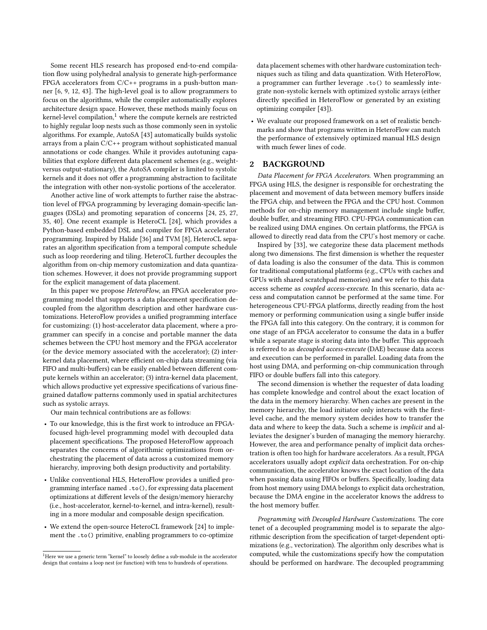Some recent HLS research has proposed end-to-end compilation flow using polyhedral analysis to generate high-performance FPGA accelerators from C/C++ programs in a push-button manner [\[6,](#page-10-4) [9,](#page-10-5) [12,](#page-10-6) [43\]](#page-10-7). The high-level goal is to allow programmers to focus on the algorithms, while the compiler automatically explores architecture design space. However, these methods mainly focus on kernel-level compilation, $1$  where the compute kernels are restricted to highly regular loop nests such as those commonly seen in systolic algorithms. For example, AutoSA [\[43\]](#page-10-7) automatically builds systolic arrays from a plain C/C++ program without sophisticated manual annotations or code changes. While it provides autotuning capabilities that explore different data placement schemes (e.g., weightversus output-stationary), the AutoSA compiler is limited to systolic kernels and it does not offer a programming abstraction to facilitate the integration with other non-systolic portions of the accelerator.

Another active line of work attempts to further raise the abstraction level of FPGA programming by leveraging domain-specific languages (DSLs) and promoting separation of concerns [\[24,](#page-10-8) [25,](#page-10-9) [27,](#page-10-10) [35,](#page-10-11) [40\]](#page-10-12). One recent example is HeteroCL [\[24\]](#page-10-8), which provides a Python-based embedded DSL and compiler for FPGA accelerator programming. Inspired by Halide [\[36\]](#page-10-13) and TVM [\[8\]](#page-10-14), HeteroCL separates an algorithm specification from a temporal compute schedule such as loop reordering and tiling. HeteroCL further decouples the algorithm from on-chip memory customization and data quantization schemes. However, it does not provide programming support for the explicit management of data placement.

In this paper we propose HeteroFlow, an FPGA accelerator programming model that supports a data placement specification decoupled from the algorithm description and other hardware customizations. HeteroFlow provides a unified programming interface for customizing: (1) host-accelerator data placement, where a programmer can specify in a concise and portable manner the data schemes between the CPU host memory and the FPGA accelerator (or the device memory associated with the accelerator); (2) interkernel data placement, where efficient on-chip data streaming (via FIFO and multi-buffers) can be easily enabled between different compute kernels within an accelerator; (3) intra-kernel data placement, which allows productive yet expressive specifications of various finegrained dataflow patterns commonly used in spatial architectures such as systolic arrays.

Our main technical contributions are as follows:

- To our knowledge, this is the first work to introduce an FPGAfocused high-level programming model with decoupled data placement specifications. The proposed HeteroFlow approach separates the concerns of algorithmic optimizations from orchestrating the placement of data across a customized memory hierarchy, improving both design productivity and portability.
- Unlike conventional HLS, HeteroFlow provides a unified programming interface named .to(), for expressing data placement optimizations at different levels of the design/memory hierarchy (i.e., host-accelerator, kernel-to-kernel, and intra-kernel), resulting in a more modular and composable design specification.
- We extend the open-source HeteroCL framework [\[24\]](#page-10-8) to implement the .to() primitive, enabling programmers to co-optimize

data placement schemes with other hardware customization techniques such as tiling and data quantization. With HeteroFlow, a programmer can further leverage .to() to seamlessly integrate non-systolic kernels with optimized systolic arrays (either directly specified in HeteroFlow or generated by an existing optimizing compiler [\[43\]](#page-10-7)).

• We evaluate our proposed framework on a set of realistic benchmarks and show that programs written in HeteroFlow can match the performance of extensively optimized manual HLS design with much fewer lines of code.

## 2 BACKGROUND

Data Placement for FPGA Accelerators. When programming an FPGA using HLS, the designer is responsible for orchestrating the placement and movement of data between memory buffers inside the FPGA chip, and between the FPGA and the CPU host. Common methods for on-chip memory management include single buffer, double buffer, and streaming FIFO. CPU-FPGA communication can be realized using DMA engines. On certain platforms, the FPGA is allowed to directly read data from the CPU's host memory or cache.

Inspired by [\[33\]](#page-10-15), we categorize these data placement methods along two dimensions. The first dimension is whether the requester of data loading is also the consumer of the data. This is common for traditional computational platforms (e.g., CPUs with caches and GPUs with shared scratchpad memories) and we refer to this data access scheme as coupled access-execute. In this scenario, data access and computation cannot be performed at the same time. For heterogeneous CPU-FPGA platforms, directly reading from the host memory or performing communication using a single buffer inside the FPGA fall into this category. On the contrary, it is common for one stage of an FPGA accelerator to consume the data in a buffer while a separate stage is storing data into the buffer. This approach is referred to as decoupled access-execute (DAE) because data access and execution can be performed in parallel. Loading data from the host using DMA, and performing on-chip communication through FIFO or double buffers fall into this category.

The second dimension is whether the requester of data loading has complete knowledge and control about the exact location of the data in the memory hierarchy. When caches are present in the memory hierarchy, the load initiator only interacts with the firstlevel cache, and the memory system decides how to transfer the data and where to keep the data. Such a scheme is *implicit* and alleviates the designer's burden of managing the memory hierarchy. However, the area and performance penalty of implicit data orchestration is often too high for hardware accelerators. As a result, FPGA accelerators usually adopt *explicit* data orchestration. For on-chip communication, the accelerator knows the exact location of the data when passing data using FIFOs or buffers. Specifically, loading data from host memory using DMA belongs to explicit data orchestration, because the DMA engine in the accelerator knows the address to the host memory buffer.

Programming with Decoupled Hardware Customizations. The core tenet of a decoupled programming model is to separate the algorithmic description from the specification of target-dependent optimizations (e.g., vectorization). The algorithm only describes what is computed, while the customizations specify how the computation should be performed on hardware. The decoupled programming

<span id="page-1-0"></span><sup>1</sup>Here we use a generic term "kernel" to loosely define a sub-module in the accelerator design that contains a loop nest (or function) with tens to hundreds of operations.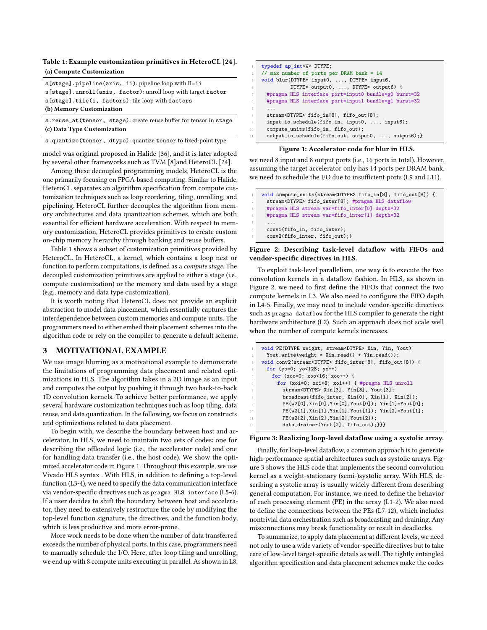## <span id="page-2-0"></span>Table 1: Example customization primitives in HeteroCL [\[24\]](#page-10-8). (a) Compute Customization

| s[stage].pipeline(axis, ii): pipeline loop with II=ii              |  |  |  |  |  |  |
|--------------------------------------------------------------------|--|--|--|--|--|--|
| s[stage].unroll(axis, factor): unroll loop with target factor      |  |  |  |  |  |  |
| s[stage].tile(i, factors): tile loop with factors                  |  |  |  |  |  |  |
| (b) Memory Customization                                           |  |  |  |  |  |  |
| s.reuse_at(tensor, stage): create reuse buffer for tensor in stage |  |  |  |  |  |  |

(c) Data Type Customization

s.quantize(tensor, dtype): quantize tensor to fixed-point type

model was original proposed in Halide [\[36\]](#page-10-13), and it is later adopted by several other frameworks such as TVM [\[8\]](#page-10-14)and HeteroCL [\[24\]](#page-10-8).

Among these decoupled programming models, HeteroCL is the one primarily focusing on FPGA-based computing. Similar to Halide, HeteroCL separates an algorithm specification from compute customization techniques such as loop reordering, tiling, unrolling, and pipelining. HeteroCL further decouples the algorithm from memory architectures and data quantization schemes, which are both essential for efficient hardware acceleration. With respect to memory customization, HeteroCL provides primitives to create custom on-chip memory hierarchy through banking and reuse buffers.

Table [1](#page-2-0) shows a subset of customization primitives provided by HeteroCL. In HeteroCL, a kernel, which contains a loop nest or function to perform computations, is defined as a compute stage. The decoupled customization primitives are applied to either a stage (i.e., compute customization) or the memory and data used by a stage (e.g., memory and data type customization).

It is worth noting that HeteroCL does not provide an explicit abstraction to model data placement, which essentially captures the interdependence between custom memories and compute units. The programmers need to either embed their placement schemes into the algorithm code or rely on the compiler to generate a default scheme.

## <span id="page-2-4"></span>3 MOTIVATIONAL EXAMPLE

We use image blurring as a motivational example to demonstrate the limitations of programming data placement and related optimizations in HLS. The algorithm takes in a 2D image as an input and computes the output by pushing it through two back-to-back 1D convolution kernels. To achieve better performance, we apply several hardware customization techniques such as loop tiling, data reuse, and data quantization. In the following, we focus on constructs and optimizations related to data placement.

To begin with, we describe the boundary between host and accelerator. In HLS, we need to maintain two sets of codes: one for describing the offloaded logic (i.e., the accelerator code) and one for handling data transfer (i.e., the host code). We show the optimized accelerator code in Figure [1.](#page-2-1) Throughout this example, we use Vivado HLS syntax . With HLS, in addition to defining a top-level function (L3-4), we need to specify the data communication interface via vendor-specific directives such as pragma HLS interface (L5-6). If a user decides to shift the boundary between host and accelerator, they need to extensively restructure the code by modifying the top-level function signature, the directives, and the function body, which is less productive and more error-prone.

More work needs to be done when the number of data transferred exceeds the number of physical ports. In this case, programmers need to manually schedule the I/O. Here, after loop tiling and unrolling, we end up with 8 compute units executing in parallel. As shown in L8,

<span id="page-2-1"></span>

| $\mathbf{1}$   | typedef ap_int <w> DTYPE;</w>                        |
|----------------|------------------------------------------------------|
| 2              | // max number of ports per DRAM bank = 14            |
| $3 -$          | void blur(DTYPE* input0, , DTYPE* input6,            |
| $\overline{4}$ | DTYPE* output0, , DTYPE* output6) {                  |
| 5              | #pragma HLS interface port=input0 bundle=g0 burst=32 |
| 6              | #pragma HLS interface port=input1 bundle=g1 burst=32 |
| 7              | .                                                    |
| 8              | stream <dtype> fifo_in[8], fifo_out[8];</dtype>      |
| $\overline{Q}$ | input_io_schedule(fifo_in, input0, , input6);        |
| 10             | compute_units(fifo_in, fifo_out);                    |
| 11             | output_io_schedule(fifo_out, output0, , output6);}   |

#### Figure 1: Accelerator code for blur in HLS.

we need 8 input and 8 output ports (i.e., 16 ports in total). However, assuming the target accelerator only has 14 ports per DRAM bank, we need to schedule the I/O due to insufficient ports (L9 and L11).

```
1 void compute_units(stream<DTYPE> fifo_in[8], fifo_out[8]) {
    stream<DTYPE> fifo_inter[8]; #pragma HLS dataflow
     #pragma HLS stream var=fifo_inter[0] depth=32
    4 #pragma HLS stream var=fifo_inter[1] depth=32
5 \cdot \cdot \cdotconv1(fifo in, fifo inter);
    conv2(fifo_inter, fifo_out);}
```
## Figure 2: Describing task-level dataflow with FIFOs and vendor-specific directives in HLS.

To exploit task-level parallelism, one way is to execute the two convolution kernels in a dataflow fashion. In HLS, as shown in Figure [2,](#page-2-2) we need to first define the FIFOs that connect the two compute kernels in L3. We also need to configure the FIFO depth in L4-5. Finally, we may need to include vendor-specific directives such as pragma dataflow for the HLS compiler to generate the right hardware architecture (L2). Such an approach does not scale well when the number of compute kernels increases.

```
void PE(DTYPE weight, stream<DTYPE> Xin, Yin, Yout)
 2 Yout.write(weight ∗ Xin.read() + Yin.read());
3 void conv2(stream<DTYPE> fifo_inter[8], fifo_out[8]) {
 4 for (yo=0; yo<128; yo++)
   5 for (xoo=0; xoo<16; xoo++) {
     6 for (xoi=0; xoi<8; xoi++) { #pragma HLS unroll
       stream<DTYPE> Xin[3], Yin[3], Yout[3];
       8 broadcast(fifo_inter, Xin[0], Xin[1], Xin[2]);
       9 PE(w2[0],Xin[0],Yin[0],Yout[0]); Yin[1]=Yout[0];
       10 PE(w2[1],Xin[1],Yin[1],Yout[1]); Yin[2]=Yout[1];
       11 PE(w2[2],Xin[2],Yin[2],Yout[2]);
       data_drainer(Yout[2], fifo_out);}}}
```
#### Figure 3: Realizing loop-level dataflow using a systolic array.

Finally, for loop-level dataflow, a common approach is to generate high-performance spatial architectures such as systolic arrays. Figure [3](#page-2-3) shows the HLS code that implements the second convolution kernel as a weight-stationary (semi-)systolic array. With HLS, describing a systolic array is usually widely different from describing general computation. For instance, we need to define the behavior of each processing element (PE) in the array (L1-2). We also need to define the connections between the PEs (L7-12), which includes nontrivial data orchestration such as broadcasting and draining. Any misconnections may break functionality or result in deadlocks.

To summarize, to apply data placement at different levels, we need not only to use a wide variety of vendor-specific directives but to take care of low-level target-specific details as well. The tightly entangled algorithm specification and data placement schemes make the codes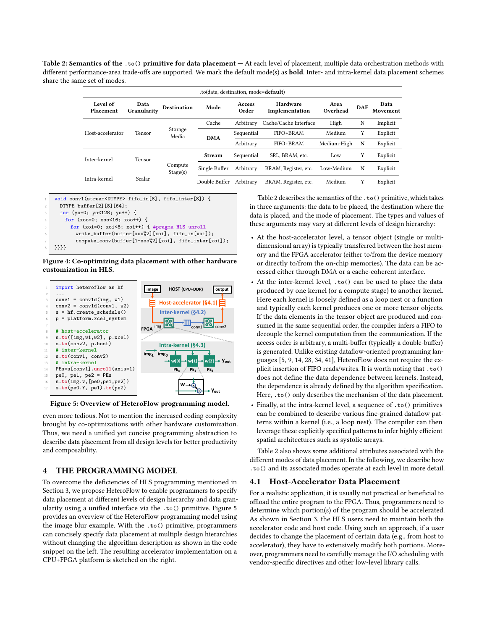<span id="page-3-1"></span>Table 2: Semantics of the .to() primitive for data placement — At each level of placement, multiple data orchestration methods with different performance-area trade-offs are supported. We mark the default mode(s) as **bold**. Inter- and intra-kernel data placement schemes share the same set of modes.

| .to(data, destination, mode=default) |                     |                               |               |                 |                            |                  |            |                  |
|--------------------------------------|---------------------|-------------------------------|---------------|-----------------|----------------------------|------------------|------------|------------------|
| Level of<br>Placement                | Data<br>Granularity | <b>Destination</b>            | Mode          | Access<br>Order | Hardware<br>Implementation | Area<br>Overhead | <b>DAE</b> | Data<br>Movement |
|                                      | Tensor              | Storage<br>Media              | Cache         | Arbitrary       | Cache/Cache Interface      | High             | N          | Implicit         |
| Host-accelerator                     |                     |                               | <b>DMA</b>    | Sequential      | FIFO+BRAM                  | Medium           | Y          | Explicit         |
|                                      |                     |                               |               | Arbitrary       | FIFO+BRAM                  | Medium-High      | N          | Explicit         |
| Inter-kernel                         | Tensor              |                               | <b>Stream</b> | Sequential      | SRL. BRAM. etc.            | Low              | Υ          | Explicit         |
|                                      |                     | Compute<br>Stage(s)<br>Scalar | Single Buffer | Arbitrary       | BRAM, Register, etc.       | Low-Medium       | N          | Explicit         |
| Intra-kernel                         |                     |                               | Double Buffer | Arbitrary       | BRAM, Register, etc.       | Medium           | Y          | Explicit         |



Figure 4: Co-optimizing data placement with other hardware customization in HLS.

<span id="page-3-0"></span>

Figure 5: Overview of HeteroFlow programming model.

even more tedious. Not to mention the increased coding complexity brought by co-optimizations with other hardware customization. Thus, we need a unified yet concise programming abstraction to describe data placement from all design levels for better productivity and composability.

# 4 THE PROGRAMMING MODEL

To overcome the deficiencies of HLS programming mentioned in Section [3,](#page-2-4) we propose HeteroFlow to enable programmers to specify data placement at different levels of design hierarchy and data granularity using a unified interface via the .to() primitive. Figure [5](#page-3-0) provides an overview of the HeteroFlow programming model using the image blur example. With the .to() primitive, programmers can concisely specify data placement at multiple design hierarchies without changing the algorithm description as shown in the code snippet on the left. The resulting accelerator implementation on a CPU+FPGA platform is sketched on the right.

Table [2](#page-3-1) describes the semantics of the .to() primitive, which takes in three arguments: the data to be placed, the destination where the data is placed, and the mode of placement. The types and values of these arguments may vary at different levels of design hierarchy:

- At the host-accelerator level, a tensor object (single or multidimensional array) is typically transferred between the host memory and the FPGA accelerator (either to/from the device memory or directly to/from the on-chip memories). The data can be accessed either through DMA or a cache-coherent interface.
- At the inter-kernel level, .to() can be used to place the data produced by one kernel (or a compute stage) to another kernel. Here each kernel is loosely defined as a loop nest or a function and typically each kernel produces one or more tensor objects. If the data elements in the tensor object are produced and consumed in the same sequential order, the compiler infers a FIFO to decouple the kernel computation from the communication. If the access order is arbitrary, a multi-buffer (typically a double-buffer) is generated. Unlike existing dataflow-oriented programming languages [\[5,](#page-10-16) [9,](#page-10-5) [14,](#page-10-17) [28,](#page-10-18) [34,](#page-10-19) [41\]](#page-10-20), HeteroFlow does not require the explicit insertion of FIFO reads/writes. It is worth noting that .to() does not define the data dependence between kernels. Instead, the dependence is already defined by the algorithm specification. Here, .to() only describes the mechanism of the data placement.
- Finally, at the intra-kernel level, a sequence of .to() primitives can be combined to describe various fine-grained dataflow patterns within a kernel (i.e., a loop nest). The compiler can then leverage these explicitly specified patterns to infer highly efficient spatial architectures such as systolic arrays.

Table [2](#page-3-1) also shows some additional attributes associated with the different modes of data placement. In the following, we describe how .to() and its associated modes operate at each level in more detail.

# 4.1 Host-Accelerator Data Placement

For a realistic application, it is usually not practical or beneficial to offload the entire program to the FPGA. Thus, programmers need to determine which portion(s) of the program should be accelerated. As shown in Section [3,](#page-2-4) the HLS users need to maintain both the accelerator code and host code. Using such an approach, if a user decides to change the placement of certain data (e.g., from host to accelerator), they have to extensively modify both portions. Moreover, programmers need to carefully manage the I/O scheduling with vendor-specific directives and other low-level library calls.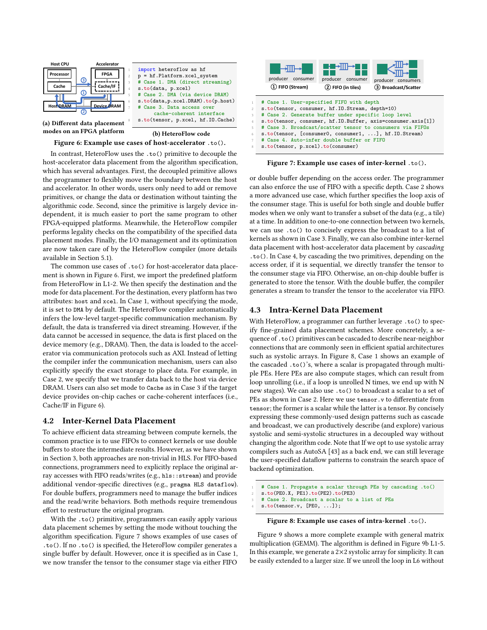<span id="page-4-0"></span>

#### Figure 6: Example use cases of host-accelerator .to().

In contrast, HeteroFlow uses the .to() primitive to decouple the host-accelerator data placement from the algorithm specification, which has several advantages. First, the decoupled primitive allows the programmer to flexibly move the boundary between the host and accelerator. In other words, users only need to add or remove primitives, or change the data or destination without tainting the algorithmic code. Second, since the primitive is largely device independent, it is much easier to port the same program to other FPGA-equipped platforms. Meanwhile, the HeteroFlow compiler performs legality checks on the compatibility of the specified data placement modes. Finally, the I/O management and its optimization are now taken care of by the HeteroFlow compiler (more details available in Section [5.1\)](#page-6-0).

The common use cases of .to() for host-accelerator data placement is shown in Figure [6.](#page-4-0) First, we import the predefined platform from HeteroFlow in L1-2. We then specify the destination and the mode for data placement. For the destination, every platform has two attributes: host and xcel. In Case 1, without specifying the mode, it is set to DMA by default. The HeteroFlow compiler automatically infers the low-level target-specific communication mechanism. By default, the data is transferred via direct streaming. However, if the data cannot be accessed in sequence, the data is first placed on the device memory (e.g., DRAM). Then, the data is loaded to the accelerator via communication protocols such as AXI. Instead of letting the compiler infer the communication mechanism, users can also explicitly specify the exact storage to place data. For example, in Case 2, we specify that we transfer data back to the host via device DRAM. Users can also set mode to Cache as in Case 3 if the target device provides on-chip caches or cache-coherent interfaces (i.e., Cache/IF in Figure [6\)](#page-4-0).

## 4.2 Inter-Kernel Data Placement

To achieve efficient data streaming between compute kernels, the common practice is to use FIFOs to connect kernels or use double buffers to store the intermediate results. However, as we have shown in Section [3,](#page-2-4) both approaches are non-trivial in HLS. For FIFO-based connections, programmers need to explicitly replace the original array accesses with FIFO reads/writes (e.g., hls::stream) and provide additional vendor-specific directives (e.g., pragma HLS dataflow). For double buffers, programmers need to manage the buffer indices and the read/write behaviors. Both methods require tremendous effort to restructure the original program.

With the .to() primitive, programmers can easily apply various data placement schemes by setting the mode without touching the algorithm specification. Figure [7](#page-4-1) shows examples of use cases of .to(). If no .to() is specified, the HeteroFlow compiler generates a single buffer by default. However, once it is specified as in Case 1, we now transfer the tensor to the consumer stage via either FIFO

<span id="page-4-1"></span>

Figure 7: Example use cases of inter-kernel .to().

or double buffer depending on the access order. The programmer can also enforce the use of FIFO with a specific depth. Case 2 shows a more advanced use case, which further specifies the loop axis of the consumer stage. This is useful for both single and double buffer modes when we only want to transfer a subset of the data (e.g., a tile) at a time. In addition to one-to-one connection between two kernels, we can use .to() to concisely express the broadcast to a list of kernels as shown in Case 3. Finally, we can also combine inter-kernel data placement with host-accelerator data placement by cascading .to(). In Case 4, by cascading the two primitives, depending on the access order, if it is sequential, we directly transfer the tensor to the consumer stage via FIFO. Otherwise, an on-chip double buffer is generated to store the tensor. With the double buffer, the compiler generates a stream to transfer the tensor to the accelerator via FIFO.

# <span id="page-4-3"></span>4.3 Intra-Kernel Data Placement

With HeteroFlow, a programmer can further leverage .to() to specify fine-grained data placement schemes. More concretely, a sequence of .to() primitives can be cascaded to describe near-neighbor connections that are commonly seen in efficient spatial architectures such as systolic arrays. In Figure [8,](#page-4-2) Case 1 shows an example of the cascaded .to()'s, where a scalar is propagated through multiple PEs. Here PEs are also compute stages, which can result from loop unrolling (i.e., if a loop is unrolled N times, we end up with N new stages). We can also use .to() to broadcast a scalar to a set of PEs as shown in Case 2. Here we use tensor. v to differentiate from tensor; the former is a scalar while the latter is a tensor. By concisely expressing these commonly-used design patterns such as cascade and broadcast, we can productively describe (and explore) various systolic and semi-systolic structures in a decoupled way without changing the algorithm code. Note that If we opt to use systolic array compilers such as AutoSA [\[43\]](#page-10-7) as a back end, we can still leverage the user-specified dataflow patterns to constrain the search space of backend optimization.

<span id="page-4-2"></span>1 # Case 1. Propagate a scalar through PEs by cascading .to()

```
s.to(PE0.X, PE1).to(PE2).to(PE3)
```

```
# Case 2. Broadcast a scalar to a list of PEs
```

```
s.to(tensor.v, [PE0, ...]);
```
#### Figure 8: Example use cases of intra-kernel .to().

Figure [9](#page-5-0) shows a more complete example with general matrix multiplication (GEMM). The algorithm is defined in Figure [9b](#page-5-0) L1-5. In this example, we generate a  $2\times 2$  systolic array for simplicity. It can be easily extended to a larger size. If we unroll the loop in L6 without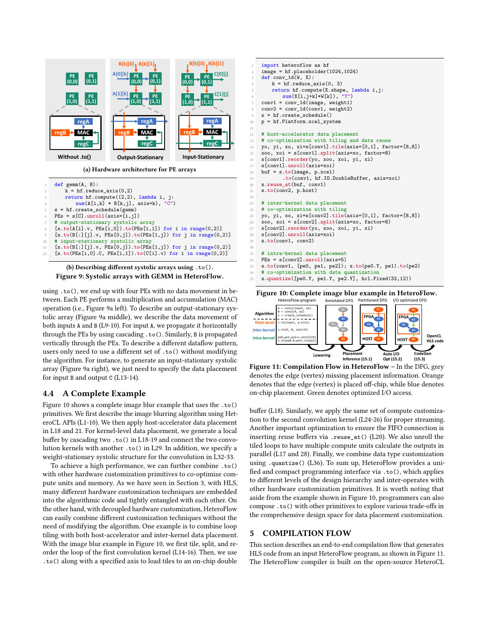<span id="page-5-0"></span>

(b) Describing different systolic arrays using .to(). Figure 9: Systolic arrays with GEMM in HeteroFlow.

using .to(), we end up with four PEs with no data movement in between. Each PE performs a multiplication and accumulation (MAC) operation (i.e., Figure [9a](#page-5-0) left). To describe an output-stationary systolic array (Figure [9a](#page-5-0) middle), we describe the data movement of both inputs A and B (L9-10). For input A, we propagate it horizontally through the PEs by using cascading .to(). Similarly, B is propagated vertically through the PEs. To describe a different dataflow pattern, users only need to use a different set of .to() without modifying the algorithm. For instance, to generate an input-stationary systolic array (Figure [9a](#page-5-0) right), we just need to specify the data placement for input B and output C (L13-14).

# 4.4 A Complete Example

Figure [10](#page-5-1) shows a complete image blur example that uses the .to() primitives. We first describe the image blurring algorithm using HeteroCL APIs (L1-10). We then apply host-accelerator data placement in L18 and 21. For kernel-level data placement, we generate a local buffer by cascading two .to() in L18-19 and connect the two convolution kernels with another .to() in L29. In addition, we specify a weight-stationary systolic structure for the convolution in L32-33.

To achieve a high performance, we can further combine .to() with other hardware customization primitives to co-optimize compute units and memory. As we have seen in Section [3,](#page-2-4) with HLS, many different hardware customization techniques are embedded into the algorithmic code and tightly entangled with each other. On the other hand, with decoupled hardware customization, HeteroFlow can easily combine different customization techniques without the need of modifying the algorithm. One example is to combine loop tiling with both host-accelerator and inter-kernel data placement. With the image blur example in Figure [10,](#page-5-1) we first tile, split, and reorder the loop of the first convolution kernel (L14-16). Then, we use .to() along with a specified axis to load tiles to an on-chip double

<span id="page-5-1"></span>

Figure 10: Complete image blur example in HeteroFlow.<br>HeteroFlow program Annotated DFG Partitioned DFG //O optimized DFG

<span id="page-5-2"></span>

Figure 11: Compilation Flow in HeteroFlow - In the DFG, grey denotes the edge (vertex) missing placement information. Orange denotes that the edge (vertex) is placed off-chip, while blue denotes on-chip placement. Green denotes optimized I/O access.

buffer (L18). Similarly, we apply the same set of compute customization to the second convolution kernel (L24-26) for proper streaming. Another important optimization to ensure the FIFO connection is inserting reuse buffers via .reuse\_at() (L20). We also unroll the tiled loops to have multiple compute units calculate the outputs in parallel (L17 and 28). Finally, we combine data type customization using .quantize() (L36). To sum up, HeteroFlow provides a unified and compact programming interface via .to(), which applies to different levels of the design hierarchy and inter-operates with other hardware customization primitives. It is worth noting that aside from the example shown in Figure [10,](#page-5-1) programmers can also compose .to() with other primitives to explore various trade-offs in the comprehensive design space for data placement customization.

# 5 COMPILATION FLOW

This section describes an end-to-end compilation flow that generates HLS code from an input HeteroFlow program, as shown in Figure [11.](#page-5-2) The HeteroFlow compiler is built on the open-source HeteroCL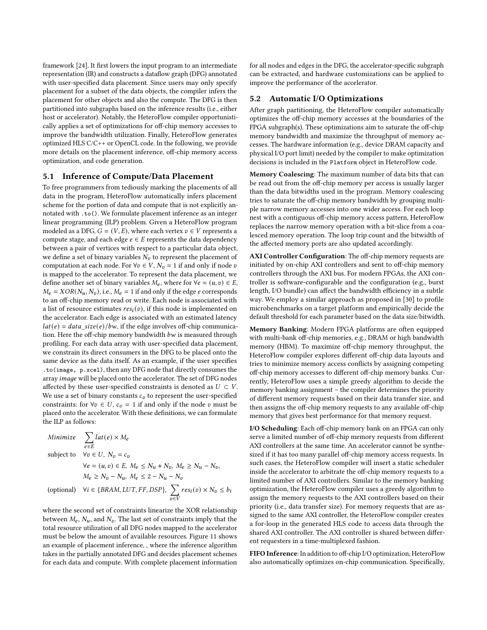framework [\[24\]](#page-10-8). It first lowers the input program to an intermediate representation (IR) and constructs a dataflow graph (DFG) annotated with user-specified data placement. Since users may only specify placement for a subset of the data objects, the compiler infers the placement for other objects and also the compute. The DFG is then partitioned into subgraphs based on the inference results (i.e., either host or accelerator). Notably, the HeteroFlow compiler opportunistically applies a set of optimizations for off-chip memory accesses to improve the bandwidth utilization. Finally, HeteroFlow generates optimized HLS C/C++ or OpenCL code. In the following, we provide more details on the placement inference, off-chip memory access optimization, and code generation.

## <span id="page-6-0"></span>5.1 Inference of Compute/Data Placement

To free programmers from tediously marking the placements of all data in the program, HeteroFlow automatically infers placement scheme for the portion of data and compute that is not explicitly annotated with .to(). We formulate placement inference as an integer linear programming (ILP) problem. Given a HeteroFlow program modeled as a DFG,  $G = (V, E)$ , where each vertex  $v \in V$  represents a compute stage, and each edge  $e \in E$  represents the data dependency between a pair of vertices with respect to a particular data object, we define a set of binary variables  $N_v$  to represent the placement of computation at each node. For  $\forall v \in V$ ,  $N_v = 1$  if and only if node  $v$ is mapped to the accelerator. To represent the data placement, we define another set of binary variables  $M_e$ , where for  $\forall e = (u, v) \in E$ ,  $M_e = XOR(N_u, N_v)$ , i.e.,  $M_e = 1$  if and only if the edge e corresponds to an off-chip memory read or write. Each node is associated with a list of resource estimates  $res<sub>i</sub>(v)$ , if this node is implemented on the accelerator. Each edge is associated with an estimated latency  $lat(e) = data\_size(e)/bw$ , if the edge involves off-chip communication. Here the off-chip memory bandwidth  $bw$  is measured through profiling. For each data array with user-specified data placement, we constrain its direct consumers in the DFG to be placed onto the same device as the data itself. As an example, if the user specifies .to(image, p.xcel), then any DFG node that directly consumes the array *image* will be placed onto the accelerator. The set of DFG nodes affected by these user-specified constraints is denoted as  $U \subset V$ . We use a set of binary constants  $c_v$  to represent the user-specified constraints: for  $\forall v \in U$ ,  $c_v = 1$  if and only if the node v must be placed onto the accelerator. With these definitions, we can formulate the ILP as follows:

Minimize 
$$
\sum_{e \in E} lat(e) \times M_e
$$
  
subject to  $\forall v \in U, N_v = c_v$   
 $\forall e = (u, v) \in E, M_e \le N_u + N_v, M_e \ge N_u - N_v,$   
 $M_e \ge N_v - N_u, M_e \le 2 - N_u - N_v$   
(optional)  $\forall i \in \{BRAM, LUT, FF, DSP\}, \sum_{v \in V} res_i(v) \times N_v \le b_i$ 

where the second set of constraints linearize the XOR relationship between  $M_e$ ,  $N_u$ , and  $N_v$ . The last set of constraints imply that the total resource utilization of all DFG nodes mapped to the accelerator must be below the amount of available resources. Figure [11](#page-5-2) shows an example of placement inference, , where the inference algorithm takes in the partially annotated DFG and decides placement schemes for each data and compute. With complete placement information

for all nodes and edges in the DFG, the accelerator-specific subgraph can be extracted, and hardware customizations can be applied to improve the performance of the accelerator.

## 5.2 Automatic I/O Optimizations

After graph partitioning, the HeteroFlow compiler automatically optimizes the off-chip memory accesses at the boundaries of the FPGA subgraph(s). These optimizations aim to saturate the off-chip memory bandwidth and maximize the throughput of memory accesses. The hardware information (e.g., device DRAM capacity and physical I/O port limit) needed by the compiler to make optimization decisions is included in the Platform object in HeteroFlow code.

Memory Coalescing: The maximum number of data bits that can be read out from the off-chip memory per access is usually larger than the data bitwidths used in the program. Memory coalescing tries to saturate the off-chip memory bandwidth by grouping multiple narrow memory accesses into one wider access. For each loop nest with a contiguous off-chip memory access pattern, HeteroFlow replaces the narrow memory operation with a bit-slice from a coalesced memory operation. The loop trip count and the bitwidth of the affected memory ports are also updated accordingly.

AXI Controller Configuration: The off-chip memory requests are initiated by on-chip AXI controllers and sent to off-chip memory controllers through the AXI bus. For modern FPGAs, the AXI controller is software-configurable and the configuration (e.g., burst length, I/O bundle) can affect the bandwidth efficiency in a subtle way. We employ a similar approach as proposed in [\[30\]](#page-10-1) to profile microbenchmarks on a target platform and empirically decide the default threshold for each parameter based on the data size/bitwidth.

Memory Banking: Modern FPGA platforms are often equipped with multi-bank off-chip memories, e.g., DRAM or high bandwidth memory (HBM). To maximize off-chip memory throughput, the HeteroFlow compiler explores different off-chip data layouts and tries to minimize memory access conflicts by assigning competing off-chip memory accesses to different off-chip memory banks. Currently, HeteroFlow uses a simple greedy algorithm to decide the memory banking assignment – the compiler determines the priority of different memory requests based on their data transfer size, and then assigns the off-chip memory requests to any available off-chip memory that gives best performance for that memory request.

I/O Scheduling: Each off-chip memory bank on an FPGA can only serve a limited number of off-chip memory requests from different AXI controllers at the same time. An accelerator cannot be synthesized if it has too many parallel off-chip memory access requests. In such cases, the HeteroFlow compiler will insert a static scheduler inside the accelerator to arbitrate the off-chip memory requests to a limited number of AXI controllers. Similar to the memory banking optimization, the HeteroFlow compiler uses a greedy algorithm to assign the memory requests to the AXI controllers based on their priority (i.e., data transfer size). For memory requests that are assigned to the same AXI controller, the HeteroFlow compiler creates a for-loop in the generated HLS code to access data through the shared AXI controller. The AXI controller is shared between different requesters in a time-multiplexed fashion.

FIFO Inference: In addition to off-chip I/O optimization, HeteroFlow also automatically optimizes on-chip communication. Specifically,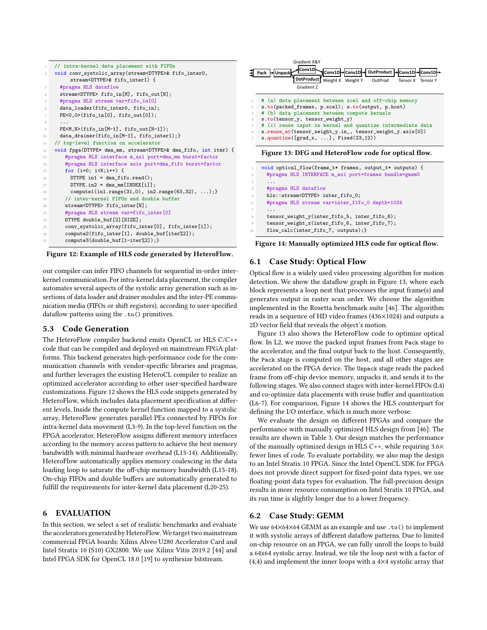<span id="page-7-0"></span>

| $\mathbf{1}$   | // intra-kernel data placement with FIFOs                                  |
|----------------|----------------------------------------------------------------------------|
| $\mathbf{2}$   | void conv_systolic_array(stream <dtype>&amp; fifo_inter0,</dtype>          |
|                | stream <dtype>&amp; fifo inter1) {</dtype>                                 |
| 3              | #pragma HLS dataflow                                                       |
| $\overline{4}$ | stream <dtype> fifo in[M], fifo out[N];</dtype>                            |
| 5              | #pragma HLS stream var=fifo_in[0]                                          |
| 6              | data_loader(fifo_inter0, fifo_in);                                         |
| 7              | $PE < 0,0$ > $(fifo_in[0], fito.out[0])$ ;                                 |
| 8              | .                                                                          |
| 9              | $PE < M, N > (fifo_in[M-1], fifo.out[N-1]);$                               |
| 10             | data_drainer(fifo_in[M-1], fifo_inter1);}                                  |
| 11             | // top-level function on accelerator                                       |
| 12             | void fpga(DTYPE* dma_mm, stream <dtype>&amp; dma_fifo, int iter) {</dtype> |
| 13             | #pragma HLS interface m_axi port=dma_mm burst=factor                       |
| 14             | #pragma HLS interface axis port=dma_fifo burst=factor                      |
| 15             | for $(i=0; i\leq K; i++)$ {                                                |
| 16             | DTYPE in1 = dma fifo.read();                                               |
| 17             | $DTYPE.in2 = dma mm[INDEX[i]]$ ;                                           |
| 18             | $\text{compute1}(\text{in1.random}(31,0), \text{in2.random}(63,32), );$    |
| 19             | // inter-kernel FIFOs and double buffer                                    |
| 20             | stream <dtype> fifo inter[N];</dtype>                                      |
| 21             | #pragma HLS stream var=fifo_inter[0]                                       |
| 22             | DTYPE double buf [2] [SIZE];                                               |
| 23             | conv_systolic_array(fifo_inter[0], fifo_inter[1]);                         |
| 24             | compute2(fifo_inter[1], double_buf[iter%2]);                               |
| 25             | compute3(double_buf[1-iter%2]); }                                          |

Figure 12: Example of HLS code generated by HeteroFlow.

our compiler can infer FIFO channels for sequential in-order interkernel communication. For intra-kernel data placement, the compiler automates several aspects of the systolic array generation such as insertions of data loader and drainer modules and the inter-PE communication media (FIFOs or shift registers), according to user-specified dataflow patterns using the .to() primitives.

# 5.3 Code Generation

The HeteroFlow compiler backend emits OpenCL or HLS C/C++ code that can be compiled and deployed on mainstream FPGA platforms. This backend generates high-performance code for the communication channels with vendor-specific libraries and pragmas, and further leverages the existing HeteroCL compiler to realize an optimized accelerator according to other user-specified hardware customizations. Figure [12](#page-7-0) shows the HLS code snippets generated by HeteroFlow, which includes data placement specification at different levels. Inside the compute kernel function mapped to a systolic array, HeteroFlow generates parallel PEs connected by FIFOs for intra-kernel data movement (L3-9). In the top-level function on the FPGA accelerator, HeteroFlow assigns different memory interfaces according to the memory access pattern to achieve the best memory bandwidth with minimal hardware overhead (L13-14). Additionally, HeteroFlow automatically applies memory coalescing in the data loading loop to saturate the off-chip memory bandwidth (L15-18). On-chip FIFOs and double buffers are automatically generated to fulfill the requirements for inter-kernel data placement (L20-25).

# 6 EVALUATION

In this section, we select a set of realistic benchmarks and evaluate the accelerators generated by HeteroFlow. We target two mainstream commercial FPGA boards: Xilinx Alveo U280 Accelerator Card and Intel Stratix 10 (S10) GX2800. We use Xilinx Vitis 2019.2 [\[44\]](#page-10-21) and Intel FPGA SDK for OpenCL 18.0 [\[19\]](#page-10-22) to synthesize bitstream.

<span id="page-7-1"></span>

Figure 13: DFG and HeteroFlow code for optical flow.

```
void optical_flow(frame_t* frames, output_t* outputs) {
     #pragma HLS INTERFACE m_axi port=frames bundle=gmem0
3 \cdot \cdot \cdot \cdot4 #pragma HLS dataflow
     5 hls::stream<DTYPE> inter_fifo_0;
     #pragma HLS stream var=inter_fifo_0 depth=1024
7 ...
     tensor weight y(inter\text{}fit05, inter\text{}fit06);tensor weight x(inter fifo 6, inter fifo 7);
     10 flow_calc(inter_fifo_7, outputs);}
```
Figure 14: Manually optimized HLS code for optical flow.

# 6.1 Case Study: Optical Flow

Optical flow is a widely used video processing algorithm for motion detection. We show the dataflow graph in Figure [13,](#page-7-1) where each block represents a loop nest that processes the input frame(s) and generates output in raster scan order. We choose the algorithm implemented in the Rosetta benchmark suite [\[46\]](#page-10-23). The algorithm reads in a sequence of HD video frames (436×1024) and outputs a 2D vector field that reveals the object's motion.

Figure [13](#page-7-1) also shows the HeteroFlow code to optimize optical flow. In L2, we move the packed input frames from Pack stage to the accelerator, and the final output back to the host. Consequently, the Pack stage is computed on the host, and all other stages are accelerated on the FPGA device. The Unpack stage reads the packed frame from off-chip device memory, unpacks it, and sends it to the following stages. We also connect stages with inter-kernel FIFOs (L4) and co-optimize data placements with reuse buffer and quantization (L6-7). For comparison, Figure [14](#page-7-2) shows the HLS counterpart for defining the I/O interface, which is much more verbose.

We evaluate the design on different FPGAs and compare the performance with manually optimized HLS design from [\[46\]](#page-10-23). The results are shown in Table [3.](#page-8-0) Our design matches the performance of the manually optimized design in HLS C++, while requiring 3.6× fewer lines of code. To evaluate portability, we also map the design to an Intel Stratix 10 FPGA. Since the Intel OpenCL SDK for FPGA does not provide direct support for fixed-point data types, we use floating-point data types for evaluation. The full-precision design results in more resource consumption on Intel Stratix 10 FPGA, and its run time is slightly longer due to a lower frequency.

# 6.2 Case Study: GEMM

We use 64×64×64 GEMM as an example and use .to() to implement it with systolic arrays of different dataflow patterns. Due to limited on-chip resource on an FPGA, we can fully unroll the loops to build a 64x64 systolic array. Instead, we tile the loop nest with a factor of (4,4) and implement the inner loops with a 4×4 systolic array that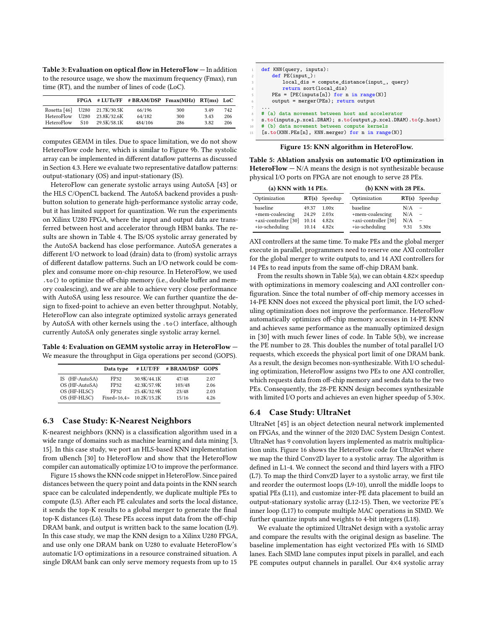<span id="page-8-0"></span>Table 3: Evaluation on optical flow in HeteroFlow — In addition to the resource usage, we show the maximum frequency (Fmax), run time (RT), and the number of lines of code (LoC).

|              |                  |             | $FPGA$ # LUTs/FF # BRAM/DSP $Fmax(MHz)$ RT(ms) LoC |     |      |     |
|--------------|------------------|-------------|----------------------------------------------------|-----|------|-----|
| Rosetta [46] | U280             | 21.7K/30.5K | 66/196                                             | 300 | 3.49 | 742 |
| HeteroFlow   | U <sub>280</sub> | 23.8K/32.6K | 64/182                                             | 300 | 3.43 | 206 |
| HeteroFlow   | S <sub>10</sub>  | 29.5K/58.1K | 484/106                                            | 286 | 3.82 | 206 |

computes GEMM in tiles. Due to space limitation, we do not show HeteroFlow code here, which is similar to Figure [9b.](#page-5-0) The systolic array can be implemented in different dataflow patterns as discussed in Section [4.3.](#page-4-3) Here we evaluate two representative dataflow patterns: output-stationary (OS) and input-stationary (IS).

HeteroFlow can generate systolic arrays using AutoSA [\[43\]](#page-10-7) or the HLS C/OpenCL backend. The AutoSA backend provides a pushbutton solution to generate high-performance systolic array code, but it has limited support for quantization. We run the experiments on Xilinx U280 FPGA, where the input and output data are transferred between host and accelerator through HBM banks. The results are shown in Table [4.](#page-8-1) The IS/OS systolic array generated by the AutoSA backend has close performance. AutoSA generates a different I/O network to load (drain) data to (from) systolic arrays of different dataflow patterns. Such an I/O network could be complex and consume more on-chip resource. In HeteroFlow, we used .to() to optimize the off-chip memory (i.e., double buffer and memory coalescing), and we are able to achieve very close performance with AutoSA using less resource. We can further quantize the design to fixed-point to achieve an even better throughput. Notably, HeteroFlow can also integrate optimized systolic arrays generated by AutoSA with other kernels using the .to() interface, although currently AutoSA only generates single systolic array kernel.

<span id="page-8-1"></span>Table 4: Evaluation on GEMM systolic array in HeteroFlow — We measure the throughput in Giga operations per second (GOPS).

|                | Data type   | # LUT/FF    | # BRAM/DSP | <b>GOPS</b> |
|----------------|-------------|-------------|------------|-------------|
| IS (HF-AutoSA) | FP32        | 30.9K/44.1K | 47/48      | 2.07        |
| OS (HF-AutoSA) | FP32        | 42.3K/57.9K | 103/48     | 2.06        |
| OS (HF-HLSC)   | FP32        | 25.4K/32.9K | 23/48      | 2.03        |
| OS (HF-HLSC)   | Fixed<16.4> | 10.2K/15.2K | 15/16      | 4.26        |

## 6.3 Case Study: K-Nearest Neighbors

K-nearest neighbors (KNN) is a classification algorithm used in a wide range of domains such as machine learning and data mining [\[3,](#page-10-24) [15\]](#page-10-25). In this case study, we port an HLS-based KNN implementation from uBench [\[30\]](#page-10-1) to HeteroFlow and show that the HeteroFlow compiler can automatically optimize I/O to improve the performance.

Figure [15](#page-8-2) shows the KNN code snippet in HeteroFlow. Since paired distances between the query point and data points in the KNN search space can be calculated independently, we duplicate multiple PEs to compute (L5). After each PE calculates and sorts the local distance, it sends the top-K results to a global merger to generate the final top-K distances (L6). These PEs access input data from the off-chip DRAM bank, and output is written back to the same location (L9). In this case study, we map the KNN design to a Xilinx U280 FPGA, and use only one DRAM bank on U280 to evaluate HeteroFlow's automatic I/O optimizations in a resource constrained situation. A single DRAM bank can only serve memory requests from up to 15

<span id="page-8-2"></span>

| 1               | def KNN(query, inputs):                                           |
|-----------------|-------------------------------------------------------------------|
| 2               | $def$ $PE(input)$ :                                               |
| 3               | $local dis = compute distance(input, query)$                      |
| $\overline{4}$  | return sort (local dis)                                           |
| -5              | $PEs = [PE(inputs[n]) for n in range(N)]$                         |
| 6               | output = merger(PEs); return output                               |
| $7\phantom{.0}$ | .                                                                 |
| $8-$            | # (a) data movement between host and accelerator                  |
| 9               | $s.to(inputs, p.xcel.DRAM); s.to(output, p.xcel.DRAM).to(p.host)$ |
| $10-1$          | # (b) data movement between compute kernels                       |
| 11              | [s.to(KNN.PEs[n], KNN.merger) for n in range(N)]                  |

Figure 15: KNN algorithm in HeteroFlow.

<span id="page-8-3"></span>Table 5: Ablation analysis on automatic I/O optimization in HeteroFlow  $- N/A$  means the design is not synthesizable because physical I/O ports on FPGA are not enough to serve 28 PEs.

| (a) KNN with 14 PEs. |       |                 | (b) KNN with 28 PEs. |       |                          |  |
|----------------------|-------|-----------------|----------------------|-------|--------------------------|--|
| Optimization         |       | $RT(s)$ Speedup | Optimization         | RT(s) | Speedup                  |  |
| baseline             | 49.37 | 1.00x           | baseline             | N/A   | $\overline{\phantom{a}}$ |  |
| +mem-coalescing      | 24.29 | 2.03x           | +mem-coalescing      | N/A   | $\overline{\phantom{a}}$ |  |
| +axi-controller [30] | 10.14 | 4.82x           | +axi-controller [30] | N/A   | $\overline{\phantom{a}}$ |  |
| +io-scheduling       | 10.14 | 4.82x           | +io-scheduling       | 9.31  | 5.30x                    |  |

AXI controllers at the same time. To make PEs and the global merger execute in parallel, programmers need to reserve one AXI controller for the global merger to write outputs to, and 14 AXI controllers for 14 PEs to read inputs from the same off-chip DRAM bank.

From the results shown in Table [5\(](#page-8-3)a), we can obtain  $4.82\times$  speedup with optimizations in memory coalescing and AXI controller configuration. Since the total number of off-chip memory accesses in 14-PE KNN does not exceed the physical port limit, the I/O scheduling optimization does not improve the performance. HeteroFlow automatically optimizes off-chip memory accesses in 14-PE KNN and achieves same performance as the manually optimized design in [\[30\]](#page-10-1) with much fewer lines of code. In Table [5\(](#page-8-3)b), we increase the PE number to 28. This doubles the number of total parallel I/O requests, which exceeds the physical port limit of one DRAM bank. As a result, the design becomes non-synthesizable. With I/O scheduling optimization, HeteroFlow assigns two PEs to one AXI controller, which requests data from off-chip memory and sends data to the two PEs. Consequently, the 28-PE KNN design becomes synthesizable with limited I/O ports and achieves an even higher speedup of 5.30×.

## 6.4 Case Study: UltraNet

UltraNet [\[45\]](#page-10-26) is an object detection neural network implemented on FPGAs, and the winner of the 2020 DAC System Design Contest. UltraNet has 9 convolution layers implemented as matrix multiplication units. Figure [16](#page-9-0) shows the HeteroFlow code for UltraNet where we map the third Conv2D layer to a systolic array. The algorithm is defined in L1-4. We connect the second and third layers with a FIFO (L7). To map the third Conv2D layer to a systolic array, we first tile and reorder the outermost loops (L9-10), unroll the middle loops to spatial PEs (L11), and customize inter-PE data placement to build an output-stationary systolic array (L12-15). Then, we vectorize PE's inner loop (L17) to compute multiple MAC operations in SIMD. We further quantize inputs and weights to 4-bit integers (L18).

We evaluate the optimized UltraNet design with a systolic array and compare the results with the original design as baseline. The baseline implementation has eight vectorized PEs with 16 SIMD lanes. Each SIMD lane computes input pixels in parallel, and each PE computes output channels in parallel. Our 4×4 systolic array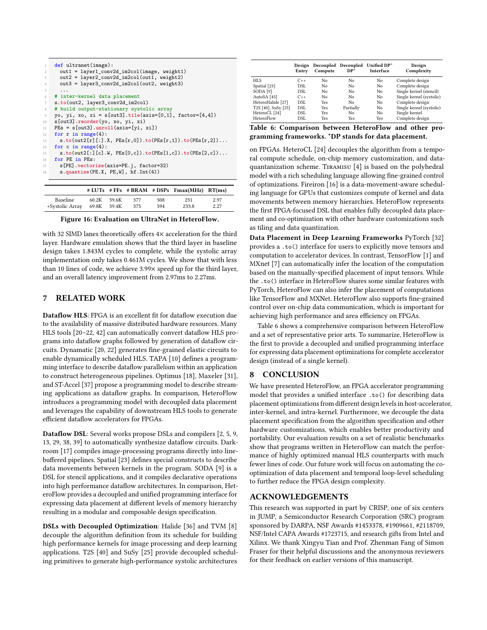<span id="page-9-0"></span>

| $\mathbf{1}$    | def ultranet(image):                                      |
|-----------------|-----------------------------------------------------------|
| $\mathbf{2}$    | out1 = layer1_conv2d_im2col(image, weight1)               |
| 3               | out2 = layer2_conv2d_im2col(out1, weight2)                |
| $\overline{4}$  | out3 = layer3 conv2d im2col(out2, weight3)                |
| -5              | .                                                         |
| 6               | # inter-kernel data placement                             |
| $7\phantom{.0}$ | s.to(out2, layer3_conv2d_im2col)                          |
| 8               | # build output-stationary systolic array                  |
| 9               | yo, yi, xo, xi = $s[out3].tile(axis=[0,1], factor=[4,4])$ |
| $10 -$          | s[out3].reorder(yo, xo, yi, xi)                           |
| 11              | $PEs = s[out3].unroll(axis=[yi, xi])$                     |
| 12              | for $r$ in range $(4)$ :                                  |
| 13              | $s.to(out2[r][:]X, PEs[r,0]).to(PEs[r,1]).to(PEs[r,2])$   |
| 14              | for c in range $(4)$ :                                    |
| 15              | $s.to(out2[:][c].W, PEs[0,c]).to(PEs[1,c]).to(PEs[2,c])$  |
| 16              | for PE in PEs:                                            |
| 17              | s[PE].vectorize(axis=PE.j, factor=32)                     |
| 18              | $s.$ quantize(PE.X, PE,W], hf.Int(4))                     |
|                 |                                                           |

|                 |             |       |     |     | $# LUTs$ # FFs # BRAM # DSPs $Fmax(MHz)$ RT(ms) |      |
|-----------------|-------------|-------|-----|-----|-------------------------------------------------|------|
| <b>Baseline</b> | 60.2K       | 39.6K | 377 | 508 | 231                                             | 2.97 |
| +Systolic Array | 69.8K 39.4K |       | 375 | 594 | 233.8                                           | 2.27 |

Figure 16: Evaluation on UltraNet in HeteroFlow.

with 32 SIMD lanes theoretically offers  $4\times$  acceleration for the third layer. Hardware emulation shows that the third layer in baseline design takes 1.843M cycles to complete, while the systolic array implementation only takes 0.461M cycles. We show that with less than 10 lines of code, we achieve 3.99× speed up for the third layer, and an overall latency improvement from 2.97ms to 2.27ms.

# 7 RELATED WORK

Dataflow HLS: FPGA is an excellent fit for dataflow execution due to the availability of massive distributed hardware resources. Many HLS tools [\[20](#page-10-27)[–22,](#page-10-28) [42\]](#page-10-29) can automatically convert dataflow HLS programs into dataflow graphs followed by generation of dataflow circuits. Dynamatic [\[20,](#page-10-27) [22\]](#page-10-28) generates fine-grained elastic circuits to enable dynamically scheduled HLS. TAPA [\[10\]](#page-10-30) defines a programming interface to describe dataflow parallelism within an application to construct heterogeneous pipelines. Optimus [\[18\]](#page-10-31), Maxeler [\[31\]](#page-10-32), and ST-Accel [\[37\]](#page-10-33) propose a programming model to describe streaming applications as dataflow graphs. In comparison, HeteroFlow introduces a programming model with decoupled data placement and leverages the capability of downstream HLS tools to generate efficient dataflow accelerators for FPGAs.

Dataflow DSL: Several works propose DSLs and compilers [\[2,](#page-10-34) [5,](#page-10-16) [9,](#page-10-5) [13,](#page-10-35) [29,](#page-10-36) [38,](#page-10-37) [39\]](#page-10-38) to automatically synthesize dataflow circuits. Darkroom [\[17\]](#page-10-39) compiles image-processing programs directly into linebuffered pipelines. Spatial [\[23\]](#page-10-40) defines special constructs to describe data movements between kernels in the program. SODA [\[9\]](#page-10-5) is a DSL for stencil applications, and it compiles declarative operations into high performance dataflow architectures. In comparison, HeteroFlow provides a decoupled and unified programming interface for expressing data placement at different levels of memory hierarchy resulting in a modular and composable design specification.

DSLs with Decoupled Optimization: Halide [\[36\]](#page-10-13) and TVM [\[8\]](#page-10-14) decouple the algorithm definition from its schedule for building high performance kernels for image processing and deep learning applications. T2S [\[40\]](#page-10-12) and SuSy [\[25\]](#page-10-9) provide decoupled scheduling primitives to generate high-performance systolic architectures

<span id="page-9-1"></span>

|                         | Design<br>Entry | Decoupled<br>Compute | Decoupled<br>$DP*$ | Unified DP*<br>Interface | Design<br>Complexity     |
|-------------------------|-----------------|----------------------|--------------------|--------------------------|--------------------------|
| HLS                     | $C_{++}$        | N <sub>0</sub>       | No                 | No                       | Complete design          |
| Spatial <sup>[23]</sup> | DSL             | No                   | No                 | No                       | Complete design          |
| SODA <sup>[9]</sup>     | DSL.            | No                   | No                 | No                       | Single kernel (stencil)  |
| AutoSA [43]             | $C++$           | N <sub>0</sub>       | No                 | No                       | Single kernel (systolic) |
| HeteroHalide [27]       | DSL.            | <b>Yes</b>           | No                 | No                       | Complete design          |
| T2S [40], SuSy [25]     | DSL             | <b>Yes</b>           | Partially          | No                       | Single kernel (systolic) |
| HeteroCL [24]           | DSL             | <b>Yes</b>           | No                 | No                       | Single kernel            |
| HeteroFlow              | DSL             | Yes                  | Yes                | <b>Yes</b>               | Complete design          |

Table 6: Comparison between HeteroFlow and other programming frameworks. \*DP stands for data placement.

on FPGAs. HeteroCL [\[24\]](#page-10-8) decouples the algorithm from a temporal compute schedule, on-chip memory customization, and dataquantanization scheme. Tiramisu [\[4\]](#page-10-41) is based on the polyhedral model with a rich scheduling language allowing fine-grained control of optimizations. Fireiron [\[16\]](#page-10-42) is a data-movement-aware scheduling language for GPUs that customizes compute of kernel and data movements between memory hierarchies. HeteroFlow represents the first FPGA-focused DSL that enables fully decoupled data placement and co-optimization with other hardware customizations such as tiling and data quantization.

Data Placement in Deep Learning Frameworks PyTorch [\[32\]](#page-10-43) provides a .to() interface for users to explicitly move tensors and computation to accelerator devices. In contrast, TensorFlow [\[1\]](#page-10-44) and MXnet [\[7\]](#page-10-45) can automatically infer the location of the computation based on the manually-specified placement of input tensors. While the .to() interface in HeteroFlow shares some similar features with PyTorch, HeteroFlow can also infer the placement of computations like TensorFlow and MXNet. HeteroFlow also supports fine-grained control over on-chip data communication, which is important for achieving high performance and area efficiency on FPGAs.

Table [6](#page-9-1) shows a comprehensive comparison between HeteroFlow and a set of representative prior arts. To summarize, HeteroFlow is the first to provide a decoupled and unified programming interface for expressing data placement optimizations for complete accelerator design (instead of a single kernel).

## 8 CONCLUSION

We have presented HeteroFlow, an FPGA accelerator programming model that provides a unified interface .to() for describing data placement optimizations from different design levels in host-accelerator, inter-kernel, and intra-kernel. Furthermore, we decouple the data placement specification from the algorithm specification and other hardware customizations, which enables better productivity and portability. Our evaluation results on a set of realistic benchmarks show that programs written in HeteroFlow can match the performance of highly optimized manual HLS counterparts with much fewer lines of code. Our future work will focus on automating the cooptimization of data placement and temporal loop-level scheduling to further reduce the FPGA design complexity.

## ACKNOWLEDGEMENTS

This research was supported in part by CRISP, one of six centers in JUMP, a Semiconductor Research Corporation (SRC) program sponsored by DARPA, NSF Awards #1453378, #1909661, #2118709, NSF/Intel CAPA Awards #1723715, and research gifts from Intel and Xilinx. We thank Xingyu Tian and Prof. Zhenman Fang of Simon Fraser for their helpful discussions and the anonymous reviewers for their feedback on earlier versions of this manuscript.